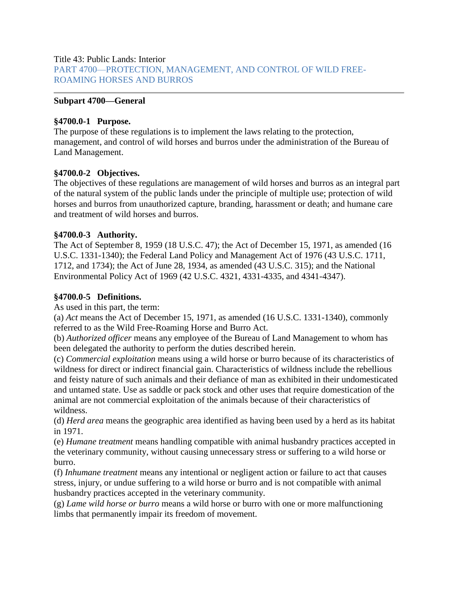Title 43: Public Lands: Interior [PART 4700—PROTECTION, MANAGEMENT, AND CONTROL OF WILD FREE-](https://gov.ecfr.io/cgi-bin/retrieveECFR?gp=&SID=0caf532f85f7ca5c81edf238d62115ab&mc=true&n=pt43.2.4700&r=PART&ty=HTML)[ROAMING HORSES AND BURROS](https://gov.ecfr.io/cgi-bin/retrieveECFR?gp=&SID=0caf532f85f7ca5c81edf238d62115ab&mc=true&n=pt43.2.4700&r=PART&ty=HTML)

#### **Subpart 4700—General**

#### **§4700.0-1 Purpose.**

The purpose of these regulations is to implement the laws relating to the protection, management, and control of wild horses and burros under the administration of the Bureau of Land Management.

#### **§4700.0-2 Objectives.**

The objectives of these regulations are management of wild horses and burros as an integral part of the natural system of the public lands under the principle of multiple use; protection of wild horses and burros from unauthorized capture, branding, harassment or death; and humane care and treatment of wild horses and burros.

#### **§4700.0-3 Authority.**

The Act of September 8, 1959 (18 U.S.C. 47); the Act of December 15, 1971, as amended (16 U.S.C. 1331-1340); the Federal Land Policy and Management Act of 1976 (43 U.S.C. 1711, 1712, and 1734); the Act of June 28, 1934, as amended (43 U.S.C. 315); and the National Environmental Policy Act of 1969 (42 U.S.C. 4321, 4331-4335, and 4341-4347).

#### **§4700.0-5 Definitions.**

As used in this part, the term:

(a) *Act* means the Act of December 15, 1971, as amended (16 U.S.C. 1331-1340), commonly referred to as the Wild Free-Roaming Horse and Burro Act.

(b) *Authorized officer* means any employee of the Bureau of Land Management to whom has been delegated the authority to perform the duties described herein.

(c) *Commercial exploitation* means using a wild horse or burro because of its characteristics of wildness for direct or indirect financial gain. Characteristics of wildness include the rebellious and feisty nature of such animals and their defiance of man as exhibited in their undomesticated and untamed state. Use as saddle or pack stock and other uses that require domestication of the animal are not commercial exploitation of the animals because of their characteristics of wildness.

(d) *Herd area* means the geographic area identified as having been used by a herd as its habitat in 1971.

(e) *Humane treatment* means handling compatible with animal husbandry practices accepted in the veterinary community, without causing unnecessary stress or suffering to a wild horse or burro.

(f) *Inhumane treatment* means any intentional or negligent action or failure to act that causes stress, injury, or undue suffering to a wild horse or burro and is not compatible with animal husbandry practices accepted in the veterinary community.

(g) *Lame wild horse or burro* means a wild horse or burro with one or more malfunctioning limbs that permanently impair its freedom of movement.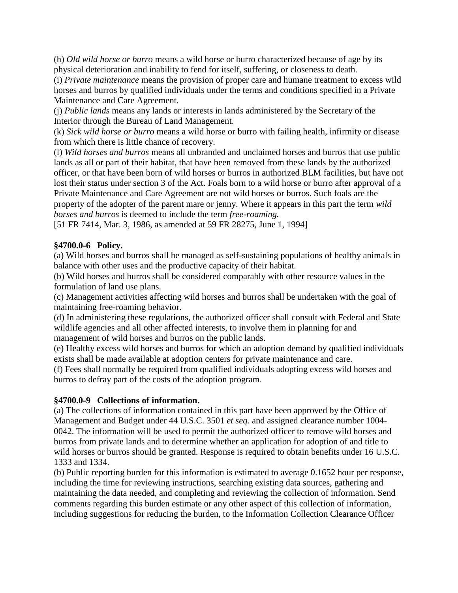(h) *Old wild horse or burro* means a wild horse or burro characterized because of age by its physical deterioration and inability to fend for itself, suffering, or closeness to death.

(i) *Private maintenance* means the provision of proper care and humane treatment to excess wild horses and burros by qualified individuals under the terms and conditions specified in a Private Maintenance and Care Agreement.

(j) *Public lands* means any lands or interests in lands administered by the Secretary of the Interior through the Bureau of Land Management.

(k) *Sick wild horse or burro* means a wild horse or burro with failing health, infirmity or disease from which there is little chance of recovery.

(l) *Wild horses and burros* means all unbranded and unclaimed horses and burros that use public lands as all or part of their habitat, that have been removed from these lands by the authorized officer, or that have been born of wild horses or burros in authorized BLM facilities, but have not lost their status under section 3 of the Act. Foals born to a wild horse or burro after approval of a Private Maintenance and Care Agreement are not wild horses or burros. Such foals are the property of the adopter of the parent mare or jenny. Where it appears in this part the term *wild horses and burros* is deemed to include the term *free-roaming.*

[51 FR 7414, Mar. 3, 1986, as amended at 59 FR 28275, June 1, 1994]

## **§4700.0-6 Policy.**

(a) Wild horses and burros shall be managed as self-sustaining populations of healthy animals in balance with other uses and the productive capacity of their habitat.

(b) Wild horses and burros shall be considered comparably with other resource values in the formulation of land use plans.

(c) Management activities affecting wild horses and burros shall be undertaken with the goal of maintaining free-roaming behavior.

(d) In administering these regulations, the authorized officer shall consult with Federal and State wildlife agencies and all other affected interests, to involve them in planning for and management of wild horses and burros on the public lands.

(e) Healthy excess wild horses and burros for which an adoption demand by qualified individuals exists shall be made available at adoption centers for private maintenance and care.

(f) Fees shall normally be required from qualified individuals adopting excess wild horses and burros to defray part of the costs of the adoption program.

# **§4700.0-9 Collections of information.**

(a) The collections of information contained in this part have been approved by the Office of Management and Budget under 44 U.S.C. 3501 *et seq.* and assigned clearance number 1004- 0042. The information will be used to permit the authorized officer to remove wild horses and burros from private lands and to determine whether an application for adoption of and title to wild horses or burros should be granted. Response is required to obtain benefits under 16 U.S.C. 1333 and 1334.

(b) Public reporting burden for this information is estimated to average 0.1652 hour per response, including the time for reviewing instructions, searching existing data sources, gathering and maintaining the data needed, and completing and reviewing the collection of information. Send comments regarding this burden estimate or any other aspect of this collection of information, including suggestions for reducing the burden, to the Information Collection Clearance Officer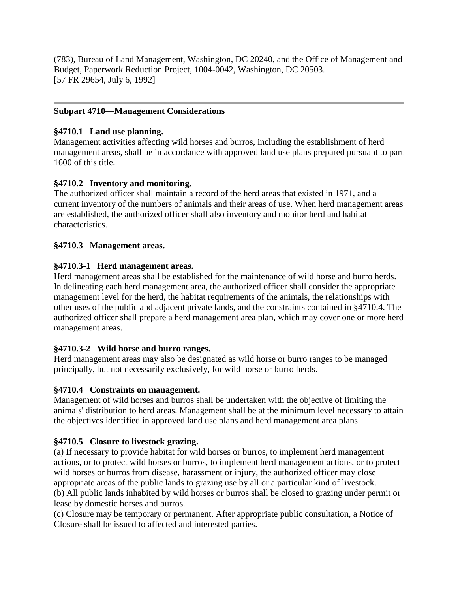(783), Bureau of Land Management, Washington, DC 20240, and the Office of Management and Budget, Paperwork Reduction Project, 1004-0042, Washington, DC 20503. [57 FR 29654, July 6, 1992]

#### **Subpart 4710—Management Considerations**

#### **§4710.1 Land use planning.**

Management activities affecting wild horses and burros, including the establishment of herd management areas, shall be in accordance with approved land use plans prepared pursuant to part 1600 of this title.

## **§4710.2 Inventory and monitoring.**

The authorized officer shall maintain a record of the herd areas that existed in 1971, and a current inventory of the numbers of animals and their areas of use. When herd management areas are established, the authorized officer shall also inventory and monitor herd and habitat characteristics.

#### **§4710.3 Management areas.**

## **§4710.3-1 Herd management areas.**

Herd management areas shall be established for the maintenance of wild horse and burro herds. In delineating each herd management area, the authorized officer shall consider the appropriate management level for the herd, the habitat requirements of the animals, the relationships with other uses of the public and adjacent private lands, and the constraints contained in §4710.4. The authorized officer shall prepare a herd management area plan, which may cover one or more herd management areas.

#### **§4710.3-2 Wild horse and burro ranges.**

Herd management areas may also be designated as wild horse or burro ranges to be managed principally, but not necessarily exclusively, for wild horse or burro herds.

#### **§4710.4 Constraints on management.**

Management of wild horses and burros shall be undertaken with the objective of limiting the animals' distribution to herd areas. Management shall be at the minimum level necessary to attain the objectives identified in approved land use plans and herd management area plans.

# **§4710.5 Closure to livestock grazing.**

(a) If necessary to provide habitat for wild horses or burros, to implement herd management actions, or to protect wild horses or burros, to implement herd management actions, or to protect wild horses or burros from disease, harassment or injury, the authorized officer may close appropriate areas of the public lands to grazing use by all or a particular kind of livestock. (b) All public lands inhabited by wild horses or burros shall be closed to grazing under permit or lease by domestic horses and burros.

(c) Closure may be temporary or permanent. After appropriate public consultation, a Notice of Closure shall be issued to affected and interested parties.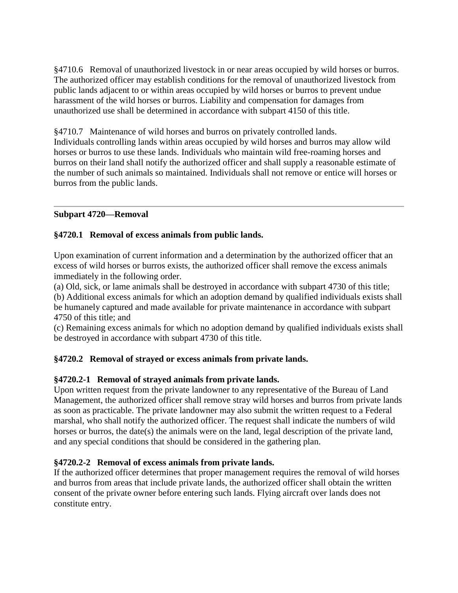§4710.6 Removal of unauthorized livestock in or near areas occupied by wild horses or burros. The authorized officer may establish conditions for the removal of unauthorized livestock from public lands adjacent to or within areas occupied by wild horses or burros to prevent undue harassment of the wild horses or burros. Liability and compensation for damages from unauthorized use shall be determined in accordance with subpart 4150 of this title.

§4710.7 Maintenance of wild horses and burros on privately controlled lands. Individuals controlling lands within areas occupied by wild horses and burros may allow wild horses or burros to use these lands. Individuals who maintain wild free-roaming horses and burros on their land shall notify the authorized officer and shall supply a reasonable estimate of the number of such animals so maintained. Individuals shall not remove or entice will horses or burros from the public lands.

## **Subpart 4720—Removal**

## **§4720.1 Removal of excess animals from public lands.**

Upon examination of current information and a determination by the authorized officer that an excess of wild horses or burros exists, the authorized officer shall remove the excess animals immediately in the following order.

(a) Old, sick, or lame animals shall be destroyed in accordance with subpart 4730 of this title; (b) Additional excess animals for which an adoption demand by qualified individuals exists shall be humanely captured and made available for private maintenance in accordance with subpart 4750 of this title; and

(c) Remaining excess animals for which no adoption demand by qualified individuals exists shall be destroyed in accordance with subpart 4730 of this title.

#### **§4720.2 Removal of strayed or excess animals from private lands.**

#### **§4720.2-1 Removal of strayed animals from private lands.**

Upon written request from the private landowner to any representative of the Bureau of Land Management, the authorized officer shall remove stray wild horses and burros from private lands as soon as practicable. The private landowner may also submit the written request to a Federal marshal, who shall notify the authorized officer. The request shall indicate the numbers of wild horses or burros, the date(s) the animals were on the land, legal description of the private land, and any special conditions that should be considered in the gathering plan.

#### **§4720.2-2 Removal of excess animals from private lands.**

If the authorized officer determines that proper management requires the removal of wild horses and burros from areas that include private lands, the authorized officer shall obtain the written consent of the private owner before entering such lands. Flying aircraft over lands does not constitute entry.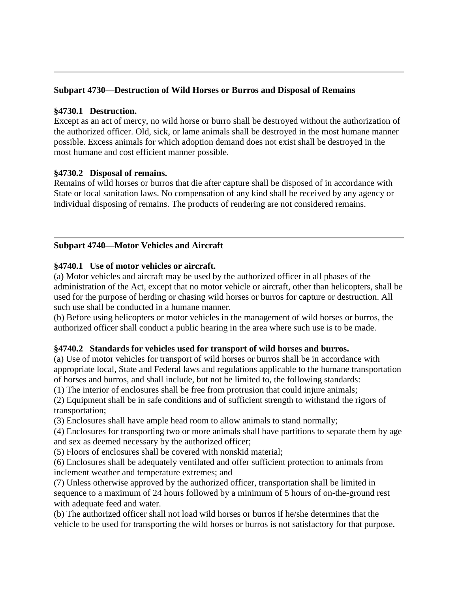#### **Subpart 4730—Destruction of Wild Horses or Burros and Disposal of Remains**

#### **§4730.1 Destruction.**

Except as an act of mercy, no wild horse or burro shall be destroyed without the authorization of the authorized officer. Old, sick, or lame animals shall be destroyed in the most humane manner possible. Excess animals for which adoption demand does not exist shall be destroyed in the most humane and cost efficient manner possible.

#### **§4730.2 Disposal of remains.**

Remains of wild horses or burros that die after capture shall be disposed of in accordance with State or local sanitation laws. No compensation of any kind shall be received by any agency or individual disposing of remains. The products of rendering are not considered remains.

#### **Subpart 4740—Motor Vehicles and Aircraft**

#### **§4740.1 Use of motor vehicles or aircraft.**

(a) Motor vehicles and aircraft may be used by the authorized officer in all phases of the administration of the Act, except that no motor vehicle or aircraft, other than helicopters, shall be used for the purpose of herding or chasing wild horses or burros for capture or destruction. All such use shall be conducted in a humane manner.

(b) Before using helicopters or motor vehicles in the management of wild horses or burros, the authorized officer shall conduct a public hearing in the area where such use is to be made.

#### **§4740.2 Standards for vehicles used for transport of wild horses and burros.**

(a) Use of motor vehicles for transport of wild horses or burros shall be in accordance with appropriate local, State and Federal laws and regulations applicable to the humane transportation of horses and burros, and shall include, but not be limited to, the following standards:

(1) The interior of enclosures shall be free from protrusion that could injure animals;

(2) Equipment shall be in safe conditions and of sufficient strength to withstand the rigors of transportation;

(3) Enclosures shall have ample head room to allow animals to stand normally;

(4) Enclosures for transporting two or more animals shall have partitions to separate them by age and sex as deemed necessary by the authorized officer;

(5) Floors of enclosures shall be covered with nonskid material;

(6) Enclosures shall be adequately ventilated and offer sufficient protection to animals from inclement weather and temperature extremes; and

(7) Unless otherwise approved by the authorized officer, transportation shall be limited in sequence to a maximum of 24 hours followed by a minimum of 5 hours of on-the-ground rest with adequate feed and water.

(b) The authorized officer shall not load wild horses or burros if he/she determines that the vehicle to be used for transporting the wild horses or burros is not satisfactory for that purpose.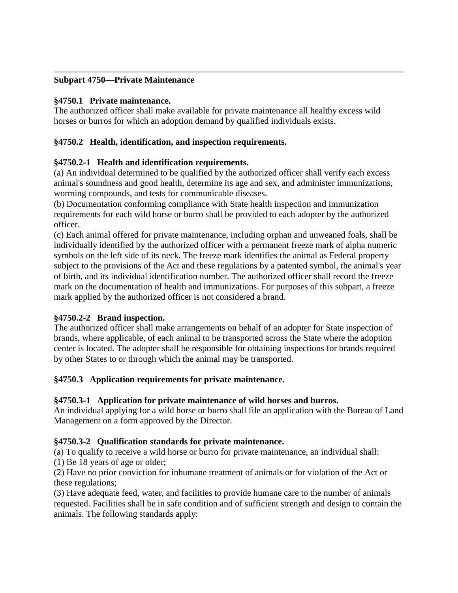#### **Subpart 4750—Private Maintenance**

#### **§4750.1 Private maintenance.**

The authorized officer shall make available for private maintenance all healthy excess wild horses or burros for which an adoption demand by qualified individuals exists.

# **§4750.2 Health, identification, and inspection requirements.**

## **§4750.2-1 Health and identification requirements.**

(a) An individual determined to be qualified by the authorized officer shall verify each excess animal's soundness and good health, determine its age and sex, and administer immunizations, worming compounds, and tests for communicable diseases.

(b) Documentation conforming compliance with State health inspection and immunization requirements for each wild horse or burro shall be provided to each adopter by the authorized officer.

(c) Each animal offered for private maintenance, including orphan and unweaned foals, shall be individually identified by the authorized officer with a permanent freeze mark of alpha numeric symbols on the left side of its neck. The freeze mark identifies the animal as Federal property subject to the provisions of the Act and these regulations by a patented symbol, the animal's year of birth, and its individual identification number. The authorized officer shall record the freeze mark on the documentation of health and immunizations. For purposes of this subpart, a freeze mark applied by the authorized officer is not considered a brand.

#### **§4750.2-2 Brand inspection.**

The authorized officer shall make arrangements on behalf of an adopter for State inspection of brands, where applicable, of each animal to be transported across the State where the adoption center is located. The adopter shall be responsible for obtaining inspections for brands required by other States to or through which the animal may be transported.

#### **§4750.3 Application requirements for private maintenance.**

#### **§4750.3-1 Application for private maintenance of wild horses and burros.**

An individual applying for a wild horse or burro shall file an application with the Bureau of Land Management on a form approved by the Director.

#### **§4750.3-2 Qualification standards for private maintenance.**

(a) To qualify to receive a wild horse or burro for private maintenance, an individual shall: (1) Be 18 years of age or older;

(2) Have no prior conviction for inhumane treatment of animals or for violation of the Act or these regulations;

(3) Have adequate feed, water, and facilities to provide humane care to the number of animals requested. Facilities shall be in safe condition and of sufficient strength and design to contain the animals. The following standards apply: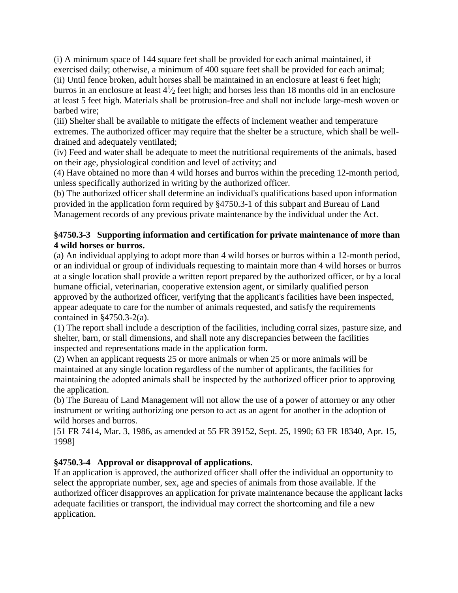(i) A minimum space of 144 square feet shall be provided for each animal maintained, if exercised daily; otherwise, a minimum of 400 square feet shall be provided for each animal; (ii) Until fence broken, adult horses shall be maintained in an enclosure at least 6 feet high; burros in an enclosure at least  $4\frac{1}{2}$  feet high; and horses less than 18 months old in an enclosure at least 5 feet high. Materials shall be protrusion-free and shall not include large-mesh woven or barbed wire;

(iii) Shelter shall be available to mitigate the effects of inclement weather and temperature extremes. The authorized officer may require that the shelter be a structure, which shall be welldrained and adequately ventilated;

(iv) Feed and water shall be adequate to meet the nutritional requirements of the animals, based on their age, physiological condition and level of activity; and

(4) Have obtained no more than 4 wild horses and burros within the preceding 12-month period, unless specifically authorized in writing by the authorized officer.

(b) The authorized officer shall determine an individual's qualifications based upon information provided in the application form required by §4750.3-1 of this subpart and Bureau of Land Management records of any previous private maintenance by the individual under the Act.

## **§4750.3-3 Supporting information and certification for private maintenance of more than 4 wild horses or burros.**

(a) An individual applying to adopt more than 4 wild horses or burros within a 12-month period, or an individual or group of individuals requesting to maintain more than 4 wild horses or burros at a single location shall provide a written report prepared by the authorized officer, or by a local humane official, veterinarian, cooperative extension agent, or similarly qualified person approved by the authorized officer, verifying that the applicant's facilities have been inspected, appear adequate to care for the number of animals requested, and satisfy the requirements contained in §4750.3-2(a).

(1) The report shall include a description of the facilities, including corral sizes, pasture size, and shelter, barn, or stall dimensions, and shall note any discrepancies between the facilities inspected and representations made in the application form.

(2) When an applicant requests 25 or more animals or when 25 or more animals will be maintained at any single location regardless of the number of applicants, the facilities for maintaining the adopted animals shall be inspected by the authorized officer prior to approving the application.

(b) The Bureau of Land Management will not allow the use of a power of attorney or any other instrument or writing authorizing one person to act as an agent for another in the adoption of wild horses and burros.

[51 FR 7414, Mar. 3, 1986, as amended at 55 FR 39152, Sept. 25, 1990; 63 FR 18340, Apr. 15, 1998]

# **§4750.3-4 Approval or disapproval of applications.**

If an application is approved, the authorized officer shall offer the individual an opportunity to select the appropriate number, sex, age and species of animals from those available. If the authorized officer disapproves an application for private maintenance because the applicant lacks adequate facilities or transport, the individual may correct the shortcoming and file a new application.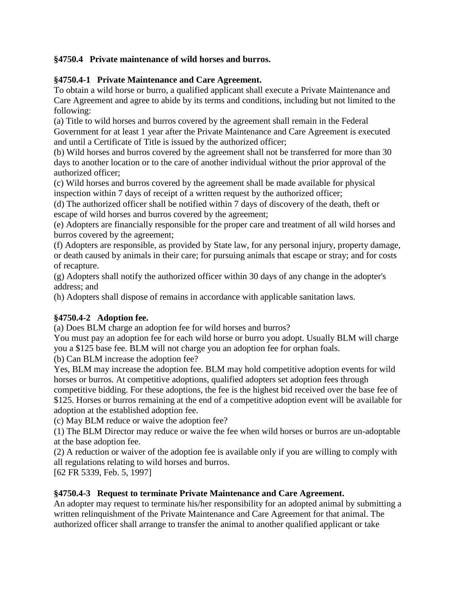# **§4750.4 Private maintenance of wild horses and burros.**

# **§4750.4-1 Private Maintenance and Care Agreement.**

To obtain a wild horse or burro, a qualified applicant shall execute a Private Maintenance and Care Agreement and agree to abide by its terms and conditions, including but not limited to the following:

(a) Title to wild horses and burros covered by the agreement shall remain in the Federal Government for at least 1 year after the Private Maintenance and Care Agreement is executed and until a Certificate of Title is issued by the authorized officer;

(b) Wild horses and burros covered by the agreement shall not be transferred for more than 30 days to another location or to the care of another individual without the prior approval of the authorized officer;

(c) Wild horses and burros covered by the agreement shall be made available for physical inspection within 7 days of receipt of a written request by the authorized officer;

(d) The authorized officer shall be notified within 7 days of discovery of the death, theft or escape of wild horses and burros covered by the agreement;

(e) Adopters are financially responsible for the proper care and treatment of all wild horses and burros covered by the agreement;

(f) Adopters are responsible, as provided by State law, for any personal injury, property damage, or death caused by animals in their care; for pursuing animals that escape or stray; and for costs of recapture.

(g) Adopters shall notify the authorized officer within 30 days of any change in the adopter's address; and

(h) Adopters shall dispose of remains in accordance with applicable sanitation laws.

# **§4750.4-2 Adoption fee.**

(a) Does BLM charge an adoption fee for wild horses and burros?

You must pay an adoption fee for each wild horse or burro you adopt. Usually BLM will charge you a \$125 base fee. BLM will not charge you an adoption fee for orphan foals.

(b) Can BLM increase the adoption fee?

Yes, BLM may increase the adoption fee. BLM may hold competitive adoption events for wild horses or burros. At competitive adoptions, qualified adopters set adoption fees through competitive bidding. For these adoptions, the fee is the highest bid received over the base fee of \$125. Horses or burros remaining at the end of a competitive adoption event will be available for adoption at the established adoption fee.

(c) May BLM reduce or waive the adoption fee?

(1) The BLM Director may reduce or waive the fee when wild horses or burros are un-adoptable at the base adoption fee.

(2) A reduction or waiver of the adoption fee is available only if you are willing to comply with all regulations relating to wild horses and burros.

[62 FR 5339, Feb. 5, 1997]

#### **§4750.4-3 Request to terminate Private Maintenance and Care Agreement.**

An adopter may request to terminate his/her responsibility for an adopted animal by submitting a written relinquishment of the Private Maintenance and Care Agreement for that animal. The authorized officer shall arrange to transfer the animal to another qualified applicant or take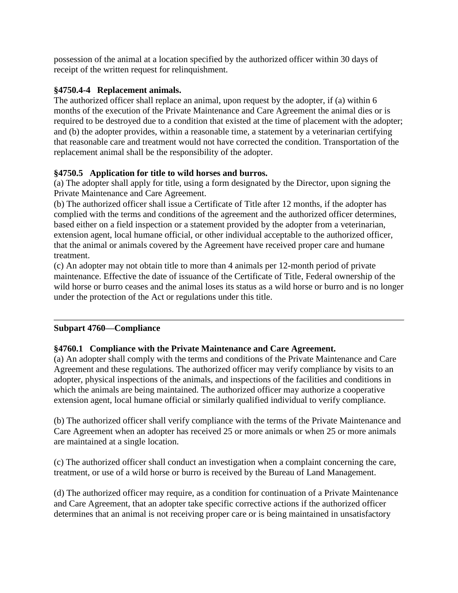possession of the animal at a location specified by the authorized officer within 30 days of receipt of the written request for relinquishment.

#### **§4750.4-4 Replacement animals.**

The authorized officer shall replace an animal, upon request by the adopter, if (a) within 6 months of the execution of the Private Maintenance and Care Agreement the animal dies or is required to be destroyed due to a condition that existed at the time of placement with the adopter; and (b) the adopter provides, within a reasonable time, a statement by a veterinarian certifying that reasonable care and treatment would not have corrected the condition. Transportation of the replacement animal shall be the responsibility of the adopter.

## **§4750.5 Application for title to wild horses and burros.**

(a) The adopter shall apply for title, using a form designated by the Director, upon signing the Private Maintenance and Care Agreement.

(b) The authorized officer shall issue a Certificate of Title after 12 months, if the adopter has complied with the terms and conditions of the agreement and the authorized officer determines, based either on a field inspection or a statement provided by the adopter from a veterinarian, extension agent, local humane official, or other individual acceptable to the authorized officer, that the animal or animals covered by the Agreement have received proper care and humane treatment.

(c) An adopter may not obtain title to more than 4 animals per 12-month period of private maintenance. Effective the date of issuance of the Certificate of Title, Federal ownership of the wild horse or burro ceases and the animal loses its status as a wild horse or burro and is no longer under the protection of the Act or regulations under this title.

#### **Subpart 4760—Compliance**

#### **§4760.1 Compliance with the Private Maintenance and Care Agreement.**

(a) An adopter shall comply with the terms and conditions of the Private Maintenance and Care Agreement and these regulations. The authorized officer may verify compliance by visits to an adopter, physical inspections of the animals, and inspections of the facilities and conditions in which the animals are being maintained. The authorized officer may authorize a cooperative extension agent, local humane official or similarly qualified individual to verify compliance.

(b) The authorized officer shall verify compliance with the terms of the Private Maintenance and Care Agreement when an adopter has received 25 or more animals or when 25 or more animals are maintained at a single location.

(c) The authorized officer shall conduct an investigation when a complaint concerning the care, treatment, or use of a wild horse or burro is received by the Bureau of Land Management.

(d) The authorized officer may require, as a condition for continuation of a Private Maintenance and Care Agreement, that an adopter take specific corrective actions if the authorized officer determines that an animal is not receiving proper care or is being maintained in unsatisfactory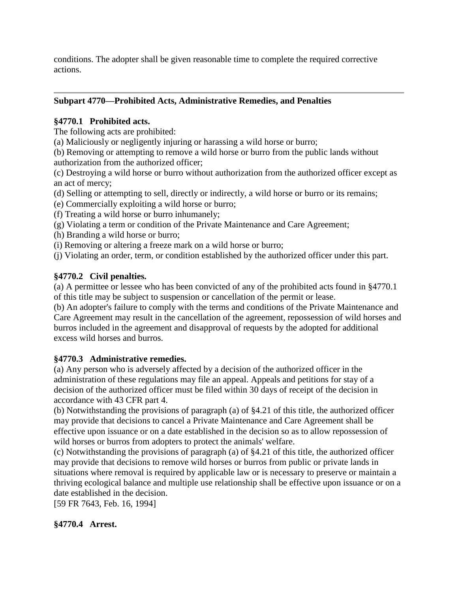conditions. The adopter shall be given reasonable time to complete the required corrective actions.

## **Subpart 4770—Prohibited Acts, Administrative Remedies, and Penalties**

## **§4770.1 Prohibited acts.**

The following acts are prohibited:

(a) Maliciously or negligently injuring or harassing a wild horse or burro;

(b) Removing or attempting to remove a wild horse or burro from the public lands without authorization from the authorized officer;

(c) Destroying a wild horse or burro without authorization from the authorized officer except as an act of mercy;

- (d) Selling or attempting to sell, directly or indirectly, a wild horse or burro or its remains;
- (e) Commercially exploiting a wild horse or burro;
- (f) Treating a wild horse or burro inhumanely;
- (g) Violating a term or condition of the Private Maintenance and Care Agreement;
- (h) Branding a wild horse or burro;
- (i) Removing or altering a freeze mark on a wild horse or burro;

(j) Violating an order, term, or condition established by the authorized officer under this part.

# **§4770.2 Civil penalties.**

(a) A permittee or lessee who has been convicted of any of the prohibited acts found in §4770.1 of this title may be subject to suspension or cancellation of the permit or lease.

(b) An adopter's failure to comply with the terms and conditions of the Private Maintenance and Care Agreement may result in the cancellation of the agreement, repossession of wild horses and burros included in the agreement and disapproval of requests by the adopted for additional excess wild horses and burros.

#### **§4770.3 Administrative remedies.**

(a) Any person who is adversely affected by a decision of the authorized officer in the administration of these regulations may file an appeal. Appeals and petitions for stay of a decision of the authorized officer must be filed within 30 days of receipt of the decision in accordance with 43 CFR part 4.

(b) Notwithstanding the provisions of paragraph (a) of §4.21 of this title, the authorized officer may provide that decisions to cancel a Private Maintenance and Care Agreement shall be effective upon issuance or on a date established in the decision so as to allow repossession of wild horses or burros from adopters to protect the animals' welfare.

(c) Notwithstanding the provisions of paragraph (a) of §4.21 of this title, the authorized officer may provide that decisions to remove wild horses or burros from public or private lands in situations where removal is required by applicable law or is necessary to preserve or maintain a thriving ecological balance and multiple use relationship shall be effective upon issuance or on a date established in the decision.

[59 FR 7643, Feb. 16, 1994]

#### **§4770.4 Arrest.**